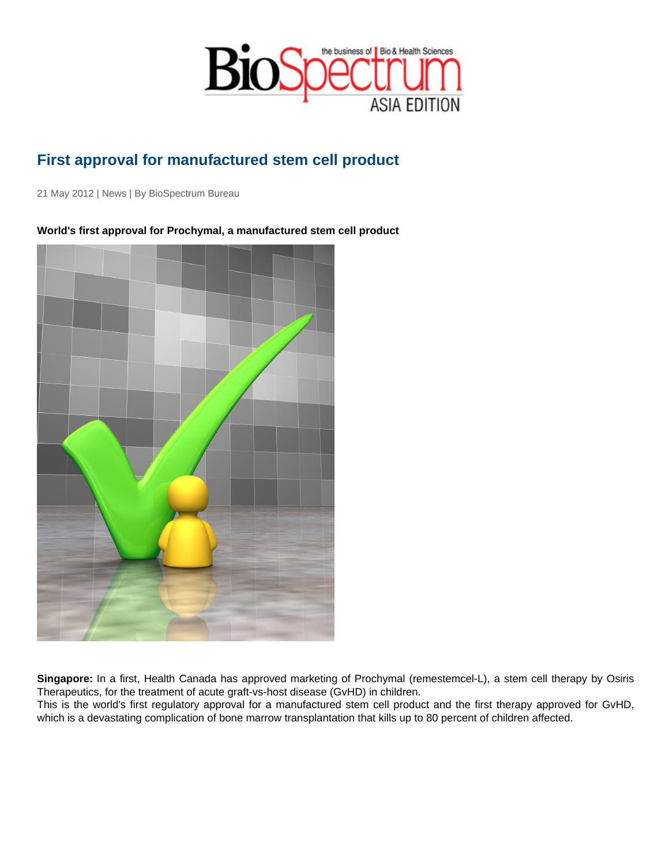## First approval for manufactured stem cell product

21 May 2012 | News | By BioSpectrum Bureau

World's first approval for Prochymal, a manufactured stem cell product

Singapore: In a first, Health Canada has approved marketing of Prochymal (remestemcel-L), a stem cell therapy by Osiris Therapeutics, for the treatment of acute graft-vs-host disease (GvHD) in children.

This is the world's first regulatory approval for a manufactured stem cell product and the first therapy approved for GvHD, which is a devastating complication of bone marrow transplantation that kills up to 80 percent of children affected.